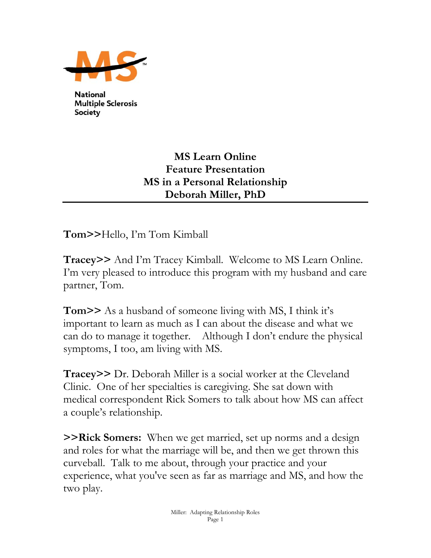

**National Multiple Sclerosis Society** 

## **MS Learn Online Feature Presentation MS in a Personal Relationship Deborah Miller, PhD**

**Tom>>**Hello, I'm Tom Kimball

**Tracey>>** And I'm Tracey Kimball. Welcome to MS Learn Online. I'm very pleased to introduce this program with my husband and care partner, Tom.

**Tom>>** As a husband of someone living with MS, I think it's important to learn as much as I can about the disease and what we can do to manage it together. Although I don't endure the physical symptoms, I too, am living with MS.

**Tracey>>** Dr. Deborah Miller is a social worker at the Cleveland Clinic. One of her specialties is caregiving. She sat down with medical correspondent Rick Somers to talk about how MS can affect a couple's relationship.

**>>Rick Somers:** When we get married, set up norms and a design and roles for what the marriage will be, and then we get thrown this curveball. Talk to me about, through your practice and your experience, what you've seen as far as marriage and MS, and how the two play.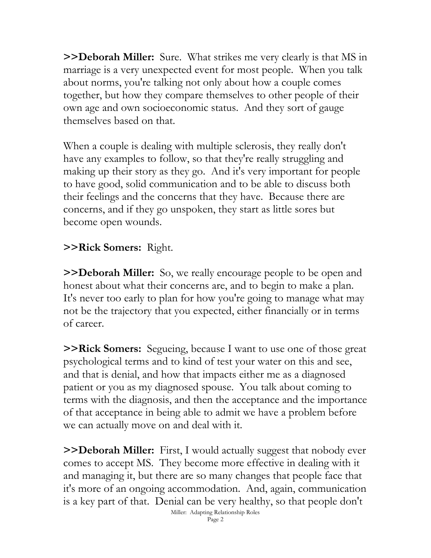**>>Deborah Miller:** Sure. What strikes me very clearly is that MS in marriage is a very unexpected event for most people. When you talk about norms, you're talking not only about how a couple comes together, but how they compare themselves to other people of their own age and own socioeconomic status. And they sort of gauge themselves based on that.

When a couple is dealing with multiple sclerosis, they really don't have any examples to follow, so that they're really struggling and making up their story as they go. And it's very important for people to have good, solid communication and to be able to discuss both their feelings and the concerns that they have. Because there are concerns, and if they go unspoken, they start as little sores but become open wounds.

## **>>Rick Somers:** Right.

**>>Deborah Miller:** So, we really encourage people to be open and honest about what their concerns are, and to begin to make a plan. It's never too early to plan for how you're going to manage what may not be the trajectory that you expected, either financially or in terms of career.

**>>Rick Somers:** Segueing, because I want to use one of those great psychological terms and to kind of test your water on this and see, and that is denial, and how that impacts either me as a diagnosed patient or you as my diagnosed spouse. You talk about coming to terms with the diagnosis, and then the acceptance and the importance of that acceptance in being able to admit we have a problem before we can actually move on and deal with it.

**>>Deborah Miller:** First, I would actually suggest that nobody ever comes to accept MS. They become more effective in dealing with it and managing it, but there are so many changes that people face that it's more of an ongoing accommodation. And, again, communication is a key part of that. Denial can be very healthy, so that people don't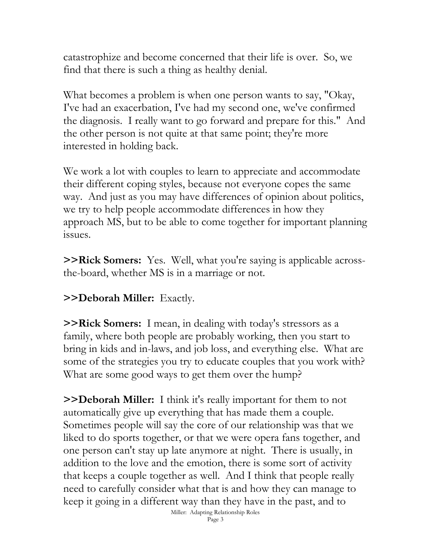catastrophize and become concerned that their life is over. So, we find that there is such a thing as healthy denial.

What becomes a problem is when one person wants to say, "Okay, I've had an exacerbation, I've had my second one, we've confirmed the diagnosis. I really want to go forward and prepare for this." And the other person is not quite at that same point; they're more interested in holding back.

We work a lot with couples to learn to appreciate and accommodate their different coping styles, because not everyone copes the same way. And just as you may have differences of opinion about politics, we try to help people accommodate differences in how they approach MS, but to be able to come together for important planning issues.

**>>Rick Somers:** Yes. Well, what you're saying is applicable acrossthe-board, whether MS is in a marriage or not.

**>>Deborah Miller:** Exactly.

**>>Rick Somers:** I mean, in dealing with today's stressors as a family, where both people are probably working, then you start to bring in kids and in-laws, and job loss, and everything else. What are some of the strategies you try to educate couples that you work with? What are some good ways to get them over the hump?

**>>Deborah Miller:** I think it's really important for them to not automatically give up everything that has made them a couple. Sometimes people will say the core of our relationship was that we liked to do sports together, or that we were opera fans together, and one person can't stay up late anymore at night. There is usually, in addition to the love and the emotion, there is some sort of activity that keeps a couple together as well. And I think that people really need to carefully consider what that is and how they can manage to keep it going in a different way than they have in the past, and to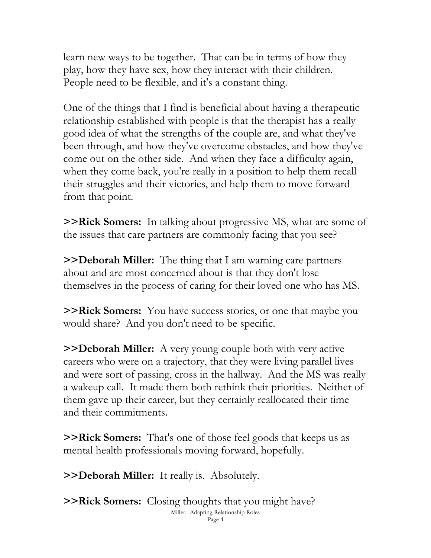learn new ways to be together. That can be in terms of how they play, how they have sex, how they interact with their children. People need to be flexible, and it's a constant thing.

One of the things that I find is beneficial about having a therapeutic relationship established with people is that the therapist has a really good idea of what the strengths of the couple are, and what they've been through, and how they've overcome obstacles, and how they've come out on the other side. And when they face a difficulty again, when they come back, you're really in a position to help them recall their struggles and their victories, and help them to move forward from that point.

**>>Rick Somers:** In talking about progressive MS, what are some of the issues that care partners are commonly facing that you see?

**>>Deborah Miller:** The thing that I am warning care partners about and are most concerned about is that they don't lose themselves in the process of caring for their loved one who has MS.

**>>Rick Somers:** You have success stories, or one that maybe you would share? And you don't need to be specific.

**>>Deborah Miller:** A very young couple both with very active careers who were on a trajectory, that they were living parallel lives and were sort of passing, cross in the hallway. And the MS was really a wakeup call. It made them both rethink their priorities. Neither of them gave up their career, but they certainly reallocated their time and their commitments.

**>>Rick Somers:** That's one of those feel goods that keeps us as mental health professionals moving forward, hopefully.

**>>Deborah Miller:** It really is. Absolutely.

**>>Rick Somers:** Closing thoughts that you might have? Miller: Adapting Relationship Roles Page 4